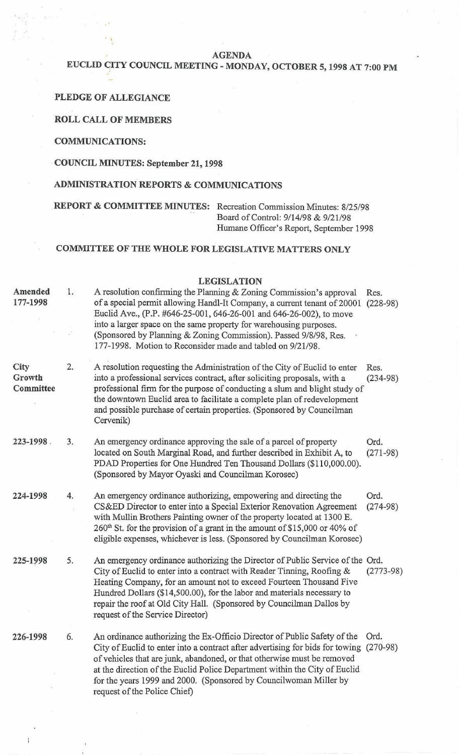**AGENDA** 

# **EUCLID CITY COUNCIL MEETING** - **MONDAY, OCTOBER 5,1998 AT 7:00 PM**

### **PLEDGE OF ALLEGIANCE**

#### **ROLL CALL OF MEMBERS**

#### **COMMUNICATIONS:**

### **COUNCIL MINUTES: September 21,1998**

## **ADMINISTRATION REPORTS** & **COMMUNICATIONS**

# **REPORT** & **COMMITTEE MINUTES:** Recreation Commission Minutes: 8/25/98

Board of Control: 9/14/98 & 9/21/98 Humane Officer's Report, September 1998

## **COMMITTEE OF THE WHOLE FOR LEGISLATIVE MATTERS ONLY**

### **LEGISLATION**

| Amended<br>177-1998         | 1. | A resolution confirming the Planning & Zoning Commission's approval<br>of a special permit allowing Handl-It Company, a current tenant of 20001<br>Euclid Ave., (P.P. #646-25-001, 646-26-001 and 646-26-002), to move<br>into a larger space on the same property for warehousing purposes.<br>(Sponsored by Planning & Zoning Commission). Passed 9/8/98, Res.<br>177-1998. Motion to Reconsider made and tabled on 9/21/98.   | Res.<br>$(228-98)$ |
|-----------------------------|----|----------------------------------------------------------------------------------------------------------------------------------------------------------------------------------------------------------------------------------------------------------------------------------------------------------------------------------------------------------------------------------------------------------------------------------|--------------------|
| City<br>Growth<br>Committee | 2. | A resolution requesting the Administration of the City of Euclid to enter<br>into a professional services contract, after soliciting proposals, with a<br>professional firm for the purpose of conducting a slum and blight study of<br>the downtown Euclid area to facilitate a complete plan of redevelopment<br>and possible purchase of certain properties. (Sponsored by Councilman<br>Cervenik)                            | Res.<br>$(234-98)$ |
| 223-1998.                   | 3. | An emergency ordinance approving the sale of a parcel of property<br>located on South Marginal Road, and further described in Exhibit A, to<br>PDAD Properties for One Hundred Ten Thousand Dollars (\$110,000.00).<br>(Sponsored by Mayor Oyaski and Councilman Korosec)                                                                                                                                                        | Ord.<br>$(271-98)$ |
| 224-1998                    | 4. | An emergency ordinance authorizing, empowering and directing the<br>CS&ED Director to enter into a Special Exterior Renovation Agreement<br>with Mullin Brothers Painting owner of the property located at 1300 E.<br>260 <sup>th</sup> St. for the provision of a grant in the amount of \$15,000 or 40% of<br>eligible expenses, whichever is less. (Sponsored by Councilman Korosec)                                          | Ord.<br>$(274-98)$ |
| 225-1998                    | 5. | An emergency ordinance authorizing the Director of Public Service of the Ord.<br>City of Euclid to enter into a contract with Reader Tinning, Roofing $\&$<br>Heating Company, for an amount not to exceed Fourteen Thousand Five<br>Hundred Dollars (\$14,500.00), for the labor and materials necessary to<br>repair the roof at Old City Hall. (Sponsored by Councilman Dallos by<br>request of the Service Director)         | $(2773-98)$        |
| 226-1998                    | 6. | An ordinance authorizing the Ex-Officio Director of Public Safety of the<br>City of Euclid to enter into a contract after advertising for bids for towing (270-98)<br>of vehicles that are junk, abandoned, or that otherwise must be removed<br>at the direction of the Euclid Police Department within the City of Euclid<br>for the years 1999 and 2000. (Sponsored by Councilwoman Miller by<br>request of the Police Chief) | Ord.               |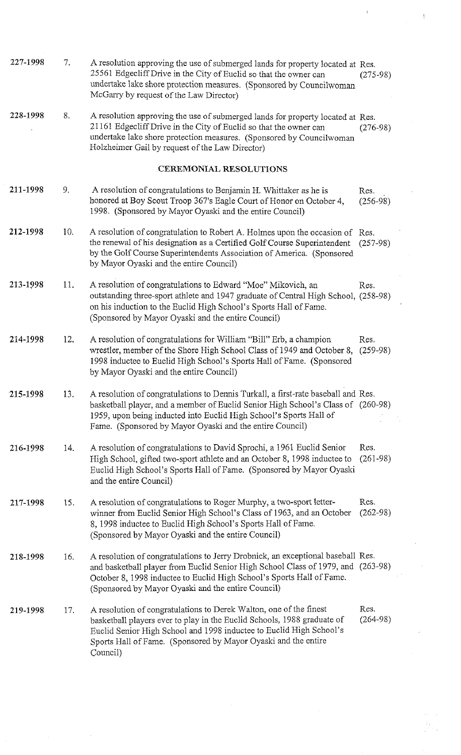| 227-1998 | 7.  | A resolution approving the use of submerged lands for property located at Res.<br>25561 Edgecliff Drive in the City of Euclid so that the owner can<br>undertake lake shore protection measures. (Sponsored by Councilwoman<br>McGarry by request of the Law Director)                                  | $(275-98)$         |
|----------|-----|---------------------------------------------------------------------------------------------------------------------------------------------------------------------------------------------------------------------------------------------------------------------------------------------------------|--------------------|
| 228-1998 | 8.  | A resolution approving the use of submerged lands for property located at Res.<br>21161 Edgecliff Drive in the City of Euclid so that the owner can<br>undertake lake shore protection measures. (Sponsored by Councilwoman<br>Holzheimer Gail by request of the Law Director)                          | $(276-98)$         |
|          |     | <b>CEREMONIAL RESOLUTIONS</b>                                                                                                                                                                                                                                                                           |                    |
| 211-1998 | 9.  | A resolution of congratulations to Benjamin H. Whittaker as he is<br>honored at Boy Scout Troop 367's Eagle Court of Honor on October 4,<br>1998. (Sponsored by Mayor Oyaski and the entire Council)                                                                                                    | Res.<br>$(256-98)$ |
| 212-1998 | 10. | A resolution of congratulation to Robert A. Holmes upon the occasion of Res.<br>the renewal of his designation as a Certified Golf Course Superintendent<br>by the Golf Course Superintendents Association of America. (Sponsored<br>by Mayor Oyaski and the entire Council)                            | $(257-98)$         |
| 213-1998 | 11. | A resolution of congratulations to Edward "Moe" Mikovich, an<br>outstanding three-sport athlete and 1947 graduate of Central High School, (258-98)<br>on his induction to the Euclid High School's Sports Hall of Fame.<br>(Sponsored by Mayor Oyaski and the entire Council)                           | Res.               |
| 214-1998 | 12. | A resolution of congratulations for William "Bill" Erb, a champion<br>wrestler, member of the Shore High School Class of 1949 and October 8, (259-98)<br>1998 inductee to Euclid High School's Sports Hall of Fame. (Sponsored<br>by Mayor Oyaski and the entire Council)                               | Res.               |
| 215-1998 | 13. | A resolution of congratulations to Dennis Turkall, a first-rate baseball and Res.<br>basketball player, and a member of Euclid Senior High School's Class of (260-98)<br>1959, upon being inducted into Euclid High School's Sports Hall of<br>Fame. (Sponsored by Mayor Oyaski and the entire Council) |                    |
| 216-1998 | 14. | A resolution of congratulations to David Sprochi, a 1961 Euclid Senior<br>High School, gifted two-sport athlete and an October 8, 1998 inductee to<br>Euclid High School's Sports Hall of Fame. (Sponsored by Mayor Oyaski<br>and the entire Council)                                                   | Res.<br>$(261-98)$ |
| 217-1998 | 15. | A resolution of congratulations to Roger Murphy, a two-sport letter-<br>winner from Euclid Senior High School's Class of 1963, and an October<br>8, 1998 inductee to Euclid High School's Sports Hall of Fame.<br>(Sponsored by Mayor Oyaski and the entire Council)                                    | Res.<br>$(262-98)$ |
| 218-1998 | 16. | A resolution of congratulations to Jerry Drobnick, an exceptional baseball Res.<br>and basketball player from Euclid Senior High School Class of 1979, and (263-98)<br>October 8, 1998 inductee to Euclid High School's Sports Hall of Fame.<br>(Sponsored by Mayor Oyaski and the entire Council)      |                    |
| 219-1998 | 17. | A resolution of congratulations to Derek Walton, one of the finest<br>basketball players ever to play in the Euclid Schools, 1988 graduate of<br>Euclid Senior High School and 1998 inductee to Euclid High School's<br>Sports Hall of Fame. (Sponsored by Mayor Oyaski and the entire<br>Council)      | Res.<br>$(264-98)$ |

 $\label{eq:2.1} \frac{1}{\sqrt{2\pi}}\int_{0}^{\infty}\frac{1}{\sqrt{2\pi}}\left(\frac{1}{\sqrt{2\pi}}\right)^{2\alpha} \frac{1}{\sqrt{2\pi}}\frac{1}{\sqrt{2\pi}}\int_{0}^{\infty}\frac{1}{\sqrt{2\pi}}\frac{1}{\sqrt{2\pi}}\frac{1}{\sqrt{2\pi}}\frac{1}{\sqrt{2\pi}}\frac{1}{\sqrt{2\pi}}\frac{1}{\sqrt{2\pi}}\frac{1}{\sqrt{2\pi}}\frac{1}{\sqrt{2\pi}}\frac{1}{\sqrt{2\pi}}\frac{1}{\sqrt{2\pi}}\frac{$ 

 $\label{eq:2.1} \frac{1}{\sqrt{2\pi}}\int_{0}^{\infty}\frac{1}{\sqrt{2\pi}}\left(\frac{1}{\sqrt{2\pi}}\right)^{2\alpha} \frac{1}{\sqrt{2\pi}}\frac{1}{\sqrt{2\pi}}\frac{1}{\sqrt{2\pi}}\frac{1}{\sqrt{2\pi}}\frac{1}{\sqrt{2\pi}}\frac{1}{\sqrt{2\pi}}\frac{1}{\sqrt{2\pi}}\frac{1}{\sqrt{2\pi}}\frac{1}{\sqrt{2\pi}}\frac{1}{\sqrt{2\pi}}\frac{1}{\sqrt{2\pi}}\frac{1}{\sqrt{2\pi}}\frac{1}{\sqrt{2\pi}}$